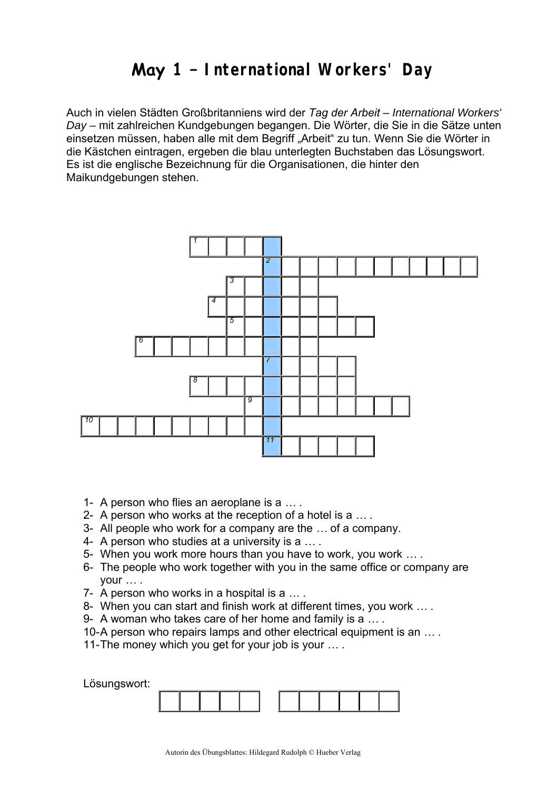## **May 1 – International Workers' Day**

Auch in vielen Städten Großbritanniens wird der *Tag der Arbeit* – *International Workers' Day* – mit zahlreichen Kundgebungen begangen. Die Wörter, die Sie in die Sätze unten einsetzen müssen, haben alle mit dem Begriff "Arbeit" zu tun. Wenn Sie die Wörter in die Kästchen eintragen, ergeben die blau unterlegten Buchstaben das Lösungswort. Es ist die englische Bezeichnung für die Organisationen, die hinter den Maikundgebungen stehen.



- 1- A person who flies an aeroplane is a *…* .
- 2- A person who works at the reception of a hotel is a *… .*
- 3- All people who work for a company are the *…* of a company.
- 4- A person who studies at a university is a *…* .
- 5- When you work more hours than you have to work, you work *…* .
- 6- The people who work together with you in the same office or company are your *…* .
- 7- A person who works in a hospital is a *…* .
- 8- When you can start and finish work at different times, you work *…* .
- 9- A woman who takes care of her home and family is a *…* .
- 10- A person who repairs lamps and other electrical equipment is an *…* .
- 11- The money which you get for your job is your *…* .

Lösungswort: